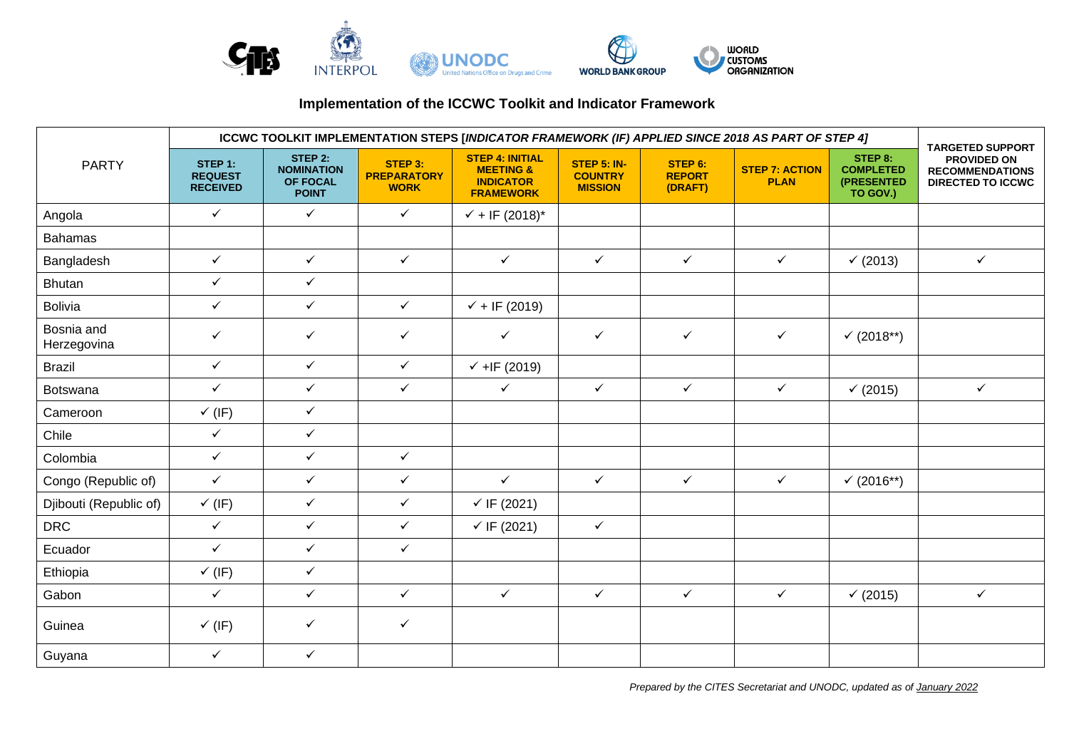

## **Implementation of the ICCWC Toolkit and Indicator Framework**

| <b>PARTY</b>              | ICCWC TOOLKIT IMPLEMENTATION STEPS [INDICATOR FRAMEWORK (IF) APPLIED SINCE 2018 AS PART OF STEP 4] |                                                                 |                                              |                                                                                        |                                                        |                                     |                                      |                                                       |                                                                                              |
|---------------------------|----------------------------------------------------------------------------------------------------|-----------------------------------------------------------------|----------------------------------------------|----------------------------------------------------------------------------------------|--------------------------------------------------------|-------------------------------------|--------------------------------------|-------------------------------------------------------|----------------------------------------------------------------------------------------------|
|                           | STEP 1:<br><b>REQUEST</b><br><b>RECEIVED</b>                                                       | STEP 2:<br><b>NOMINATION</b><br><b>OF FOCAL</b><br><b>POINT</b> | STEP 3:<br><b>PREPARATORY</b><br><b>WORK</b> | <b>STEP 4: INITIAL</b><br><b>MEETING &amp;</b><br><b>INDICATOR</b><br><b>FRAMEWORK</b> | <b>STEP 5: IN-</b><br><b>COUNTRY</b><br><b>MISSION</b> | STEP 6:<br><b>REPORT</b><br>(DRAFT) | <b>STEP 7: ACTION</b><br><b>PLAN</b> | STEP 8:<br><b>COMPLETED</b><br>(PRESENTED<br>TO GOV.) | <b>TARGETED SUPPORT</b><br>PROVIDED ON<br><b>RECOMMENDATIONS</b><br><b>DIRECTED TO ICCWC</b> |
| Angola                    | $\checkmark$                                                                                       | $\checkmark$                                                    | $\checkmark$                                 | $\sqrt{+}$ IF (2018)*                                                                  |                                                        |                                     |                                      |                                                       |                                                                                              |
| <b>Bahamas</b>            |                                                                                                    |                                                                 |                                              |                                                                                        |                                                        |                                     |                                      |                                                       |                                                                                              |
| Bangladesh                | $\checkmark$                                                                                       | $\checkmark$                                                    | $\checkmark$                                 | $\checkmark$                                                                           | $\checkmark$                                           | $\checkmark$                        | $\checkmark$                         | (2013)                                                | $\checkmark$                                                                                 |
| <b>Bhutan</b>             | $\checkmark$                                                                                       | $\checkmark$                                                    |                                              |                                                                                        |                                                        |                                     |                                      |                                                       |                                                                                              |
| <b>Bolivia</b>            | $\checkmark$                                                                                       | $\checkmark$                                                    | $\checkmark$                                 | $\sqrt{+}$ IF (2019)                                                                   |                                                        |                                     |                                      |                                                       |                                                                                              |
| Bosnia and<br>Herzegovina | $\checkmark$                                                                                       | $\checkmark$                                                    | $\checkmark$                                 | $\checkmark$                                                                           | $\checkmark$                                           | $\checkmark$                        | $\checkmark$                         | $(2018**)$                                            |                                                                                              |
| <b>Brazil</b>             | $\checkmark$                                                                                       | $\checkmark$                                                    | $\checkmark$                                 | $\checkmark$ +IF (2019)                                                                |                                                        |                                     |                                      |                                                       |                                                                                              |
| Botswana                  | $\checkmark$                                                                                       | $\checkmark$                                                    | $\checkmark$                                 | $\checkmark$                                                                           | $\checkmark$                                           | $\checkmark$                        | $\checkmark$                         | (2015)                                                | $\checkmark$                                                                                 |
| Cameroon                  | $\checkmark$ (IF)                                                                                  | $\checkmark$                                                    |                                              |                                                                                        |                                                        |                                     |                                      |                                                       |                                                                                              |
| Chile                     | $\checkmark$                                                                                       | $\checkmark$                                                    |                                              |                                                                                        |                                                        |                                     |                                      |                                                       |                                                                                              |
| Colombia                  | $\checkmark$                                                                                       | $\checkmark$                                                    | $\checkmark$                                 |                                                                                        |                                                        |                                     |                                      |                                                       |                                                                                              |
| Congo (Republic of)       | $\checkmark$                                                                                       | $\checkmark$                                                    | $\checkmark$                                 | $\checkmark$                                                                           | $\checkmark$                                           | $\checkmark$                        | $\checkmark$                         | $(2016**)$                                            |                                                                                              |
| Djibouti (Republic of)    | $\checkmark$ (IF)                                                                                  | $\checkmark$                                                    | $\checkmark$                                 | $\checkmark$ IF (2021)                                                                 |                                                        |                                     |                                      |                                                       |                                                                                              |
| <b>DRC</b>                | $\checkmark$                                                                                       | $\checkmark$                                                    | $\checkmark$                                 | $\checkmark$ IF (2021)                                                                 | $\checkmark$                                           |                                     |                                      |                                                       |                                                                                              |
| Ecuador                   | $\checkmark$                                                                                       | $\checkmark$                                                    | $\checkmark$                                 |                                                                                        |                                                        |                                     |                                      |                                                       |                                                                                              |
| Ethiopia                  | $\checkmark$ (IF)                                                                                  | $\checkmark$                                                    |                                              |                                                                                        |                                                        |                                     |                                      |                                                       |                                                                                              |
| Gabon                     | $\checkmark$                                                                                       | $\checkmark$                                                    | $\checkmark$                                 | $\checkmark$                                                                           | $\checkmark$                                           | $\checkmark$                        | $\checkmark$                         | (2015)                                                | $\checkmark$                                                                                 |
| Guinea                    | $\checkmark$ (IF)                                                                                  | $\checkmark$                                                    | $\checkmark$                                 |                                                                                        |                                                        |                                     |                                      |                                                       |                                                                                              |
| Guyana                    | $\checkmark$                                                                                       | $\checkmark$                                                    |                                              |                                                                                        |                                                        |                                     |                                      |                                                       |                                                                                              |

*Prepared by the CITES Secretariat and UNODC, updated as of January 2022*